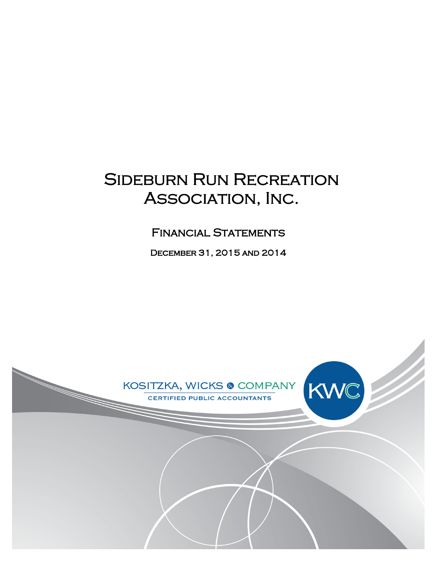# SIDEBURN RUN RECREATION ASSOCIATION, INC.

## Financial Statements

December 31, 2015 and 2014

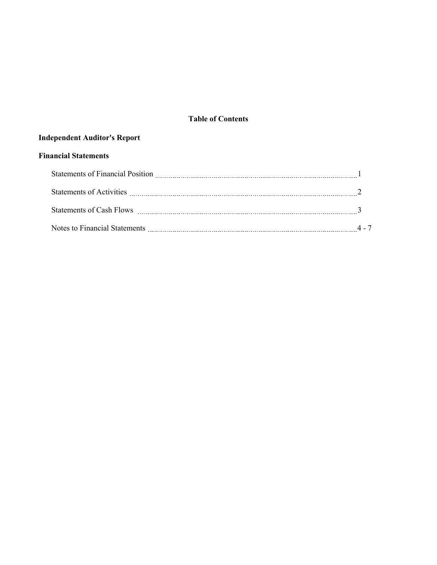### **Table of Contents**

## **Independent Auditor's Report**

#### **Financial Statements**

| Statements of Financial Position 2000 and 2000 and 2000 and 2000 and 2000 and 2000 and 2000 and 2000 and 2000 and 2000 and 2000 and 2000 and 2000 and 2000 and 2000 and 2000 and 2000 and 2000 and 2000 and 2000 and 2000 and |       |
|-------------------------------------------------------------------------------------------------------------------------------------------------------------------------------------------------------------------------------|-------|
|                                                                                                                                                                                                                               |       |
|                                                                                                                                                                                                                               |       |
| Notes to Financial Statements                                                                                                                                                                                                 | $4-7$ |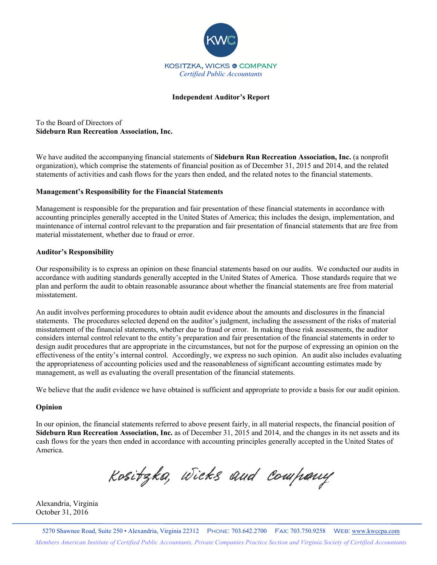

#### **Independent Auditor's Report**

To the Board of Directors of **Sideburn Run Recreation Association, Inc.**

We have audited the accompanying financial statements of **Sideburn Run Recreation Association, Inc.** (a nonprofit organization), which comprise the statements of financial position as of December 31, 2015 and 2014, and the related statements of activities and cash flows for the years then ended, and the related notes to the financial statements.

#### **Management's Responsibility for the Financial Statements**

Management is responsible for the preparation and fair presentation of these financial statements in accordance with accounting principles generally accepted in the United States of America; this includes the design, implementation, and maintenance of internal control relevant to the preparation and fair presentation of financial statements that are free from material misstatement, whether due to fraud or error.

#### **Auditor's Responsibility**

Our responsibility is to express an opinion on these financial statements based on our audits. We conducted our audits in accordance with auditing standards generally accepted in the United States of America. Those standards require that we plan and perform the audit to obtain reasonable assurance about whether the financial statements are free from material misstatement.

An audit involves performing procedures to obtain audit evidence about the amounts and disclosures in the financial statements. The procedures selected depend on the auditor's judgment, including the assessment of the risks of material misstatement of the financial statements, whether due to fraud or error. In making those risk assessments, the auditor considers internal control relevant to the entity's preparation and fair presentation of the financial statements in order to design audit procedures that are appropriate in the circumstances, but not for the purpose of expressing an opinion on the effectiveness of the entity's internal control. Accordingly, we express no such opinion. An audit also includes evaluating the appropriateness of accounting policies used and the reasonableness of significant accounting estimates made by management, as well as evaluating the overall presentation of the financial statements.

We believe that the audit evidence we have obtained is sufficient and appropriate to provide a basis for our audit opinion.

#### **Opinion**

In our opinion, the financial statements referred to above present fairly, in all material respects, the financial position of **Sideburn Run Recreation Association, Inc.** as of December 31, 2015 and 2014, and the changes in its net assets and its cash flows for the years then ended in accordance with accounting principles generally accepted in the United States of America.

Kositzka, Wicks and Company

Alexandria, Virginia October 31, 2016

5270 Shawnee Road, Suite 250 • Alexandria, Virginia 22312 PHONE: 703.642.2700 FAX: 703.750.9258 WEB: www.kwccpa.com *Members American Institute of Certified Public Accountants, Private Companies Practice Section and Virginia Society of Certified Accountants*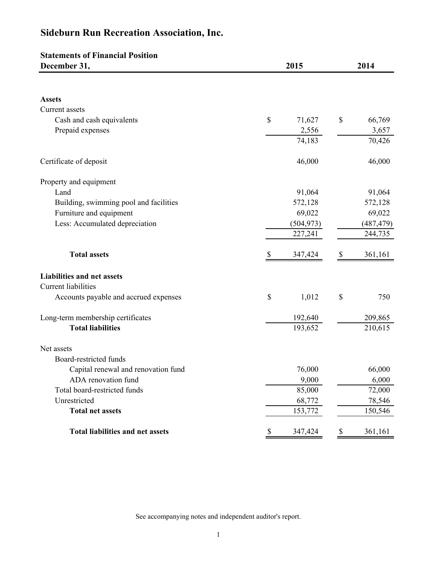### **Statements of Financial Position December 31,**

| December 31,                            | 2015 | 2014       |    |            |
|-----------------------------------------|------|------------|----|------------|
|                                         |      |            |    |            |
| <b>Assets</b>                           |      |            |    |            |
| Current assets                          |      |            |    |            |
| Cash and cash equivalents               | \$   | 71,627     | \$ | 66,769     |
| Prepaid expenses                        |      | 2,556      |    | 3,657      |
|                                         |      | 74,183     |    | 70,426     |
| Certificate of deposit                  |      | 46,000     |    | 46,000     |
| Property and equipment                  |      |            |    |            |
| Land                                    |      | 91,064     |    | 91,064     |
| Building, swimming pool and facilities  |      | 572,128    |    | 572,128    |
| Furniture and equipment                 |      | 69,022     |    | 69,022     |
| Less: Accumulated depreciation          |      | (504, 973) |    | (487, 479) |
|                                         |      | 227,241    |    | 244,735    |
| <b>Total assets</b>                     | \$   | 347,424    | \$ | 361,161    |
| <b>Liabilities and net assets</b>       |      |            |    |            |
| <b>Current liabilities</b>              |      |            |    |            |
| Accounts payable and accrued expenses   | \$   | 1,012      | \$ | 750        |
| Long-term membership certificates       |      | 192,640    |    | 209,865    |
| <b>Total liabilities</b>                |      | 193,652    |    | 210,615    |
| Net assets                              |      |            |    |            |
| Board-restricted funds                  |      |            |    |            |
| Capital renewal and renovation fund     |      | 76,000     |    | 66,000     |
| ADA renovation fund                     |      | 9,000      |    | 6,000      |
| Total board-restricted funds            |      | 85,000     |    | 72,000     |
| Unrestricted                            |      | 68,772     |    | 78,546     |
| <b>Total net assets</b>                 |      | 153,772    |    | 150,546    |
| <b>Total liabilities and net assets</b> | \$   | 347,424    | \$ | 361,161    |

See accompanying notes and independent auditor's report.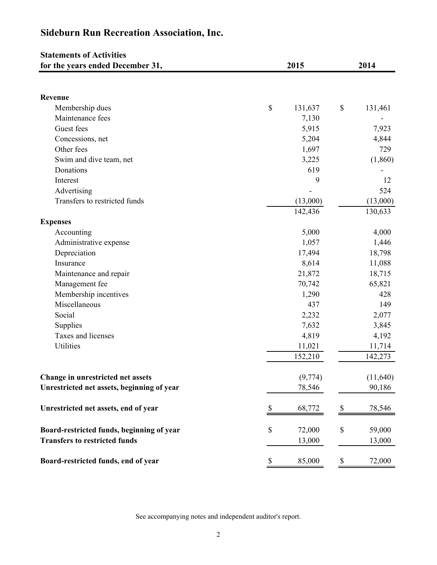| <b>Statements of Activities</b>              |               |                     |    | 2014                |
|----------------------------------------------|---------------|---------------------|----|---------------------|
| for the years ended December 31,             |               | 2015                |    |                     |
| Revenue                                      |               |                     |    |                     |
|                                              | $\mathcal{S}$ |                     | \$ |                     |
| Membership dues<br>Maintenance fees          |               | 131,637<br>7,130    |    | 131,461             |
| Guest fees                                   |               |                     |    |                     |
|                                              |               | 5,915<br>5,204      |    | 7,923<br>4,844      |
| Concessions, net<br>Other fees               |               | 1,697               |    | 729                 |
|                                              |               |                     |    |                     |
| Swim and dive team, net<br>Donations         |               | 3,225<br>619        |    | (1, 860)            |
|                                              |               | 9                   |    | 12                  |
| Interest                                     |               |                     |    | 524                 |
| Advertising<br>Transfers to restricted funds |               |                     |    |                     |
|                                              |               | (13,000)<br>142,436 |    | (13,000)<br>130,633 |
| <b>Expenses</b>                              |               |                     |    |                     |
| Accounting                                   |               | 5,000               |    | 4,000               |
| Administrative expense                       |               | 1,057               |    | 1,446               |
| Depreciation                                 |               | 17,494              |    | 18,798              |
| Insurance                                    |               | 8,614               |    | 11,088              |
| Maintenance and repair                       |               | 21,872              |    | 18,715              |
| Management fee                               |               | 70,742              |    | 65,821              |
| Membership incentives                        |               | 1,290               |    | 428                 |
| Miscellaneous                                |               | 437                 |    | 149                 |
| Social                                       |               | 2,232               |    | 2,077               |
| Supplies                                     |               | 7,632               |    | 3,845               |
| Taxes and licenses                           |               | 4,819               |    | 4,192               |
| Utilities                                    |               | 11,021              |    |                     |
|                                              |               |                     |    | 11,714              |
|                                              |               | 152,210             |    | 142,273             |
| Change in unrestricted net assets            |               | (9,774)             |    | (11,640)            |
| Unrestricted net assets, beginning of year   |               | 78,546              |    | 90,186              |
| Unrestricted net assets, end of year         | \$            | 68,772              | \$ | 78,546              |
| Board-restricted funds, beginning of year    | \$            | 72,000              | \$ | 59,000              |
| <b>Transfers to restricted funds</b>         |               | 13,000              |    | 13,000              |
| Board-restricted funds, end of year          | \$            | 85,000              | \$ | 72,000              |

See accompanying notes and independent auditor's report.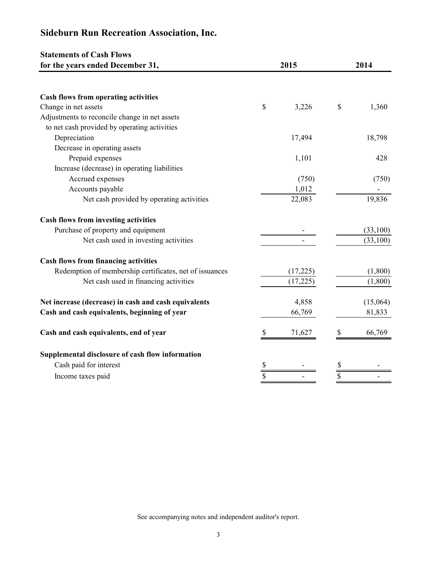## **Statements of Cash Flows**

| for the years ended December 31,                        | 2015        | 2014 |          |  |
|---------------------------------------------------------|-------------|------|----------|--|
| <b>Cash flows from operating activities</b>             |             |      |          |  |
| Change in net assets                                    | \$<br>3,226 | \$   | 1,360    |  |
| Adjustments to reconcile change in net assets           |             |      |          |  |
| to net cash provided by operating activities            |             |      |          |  |
| Depreciation                                            | 17,494      |      | 18,798   |  |
| Decrease in operating assets                            |             |      |          |  |
| Prepaid expenses                                        | 1,101       |      | 428      |  |
| Increase (decrease) in operating liabilities            |             |      |          |  |
| Accrued expenses                                        | (750)       |      | (750)    |  |
| Accounts payable                                        | 1,012       |      |          |  |
| Net cash provided by operating activities               | 22,083      |      | 19,836   |  |
| <b>Cash flows from investing activities</b>             |             |      |          |  |
| Purchase of property and equipment                      |             |      | (33,100) |  |
| Net cash used in investing activities                   |             |      | (33,100) |  |
| <b>Cash flows from financing activities</b>             |             |      |          |  |
| Redemption of membership certificates, net of issuances | (17,225)    |      | (1,800)  |  |
| Net cash used in financing activities                   | (17,225)    |      | (1,800)  |  |
| Net increase (decrease) in cash and cash equivalents    | 4,858       |      | (15,064) |  |
| Cash and cash equivalents, beginning of year            | 66,769      |      | 81,833   |  |
| Cash and cash equivalents, end of year                  | 71,627      |      | 66,769   |  |
| Supplemental disclosure of cash flow information        |             |      |          |  |
| Cash paid for interest                                  | \$          | \$   |          |  |
| Income taxes paid                                       | \$          | \$   |          |  |

See accompanying notes and independent auditor's report.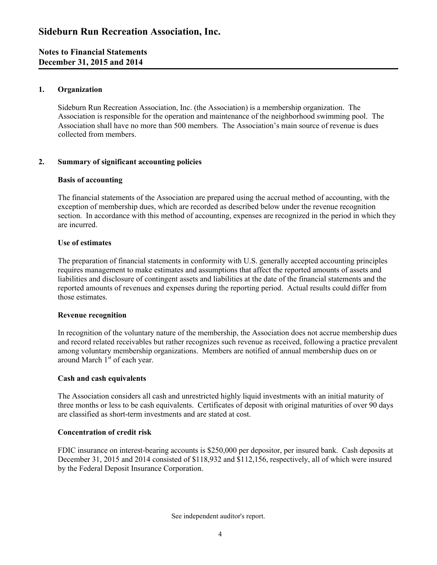#### **Notes to Financial Statements December 31, 2015 and 2014**

#### **1. Organization**

Sideburn Run Recreation Association, Inc. (the Association) is a membership organization. The Association is responsible for the operation and maintenance of the neighborhood swimming pool. The Association shall have no more than 500 members. The Association's main source of revenue is dues collected from members.

#### **2. Summary of significant accounting policies**

#### **Basis of accounting**

The financial statements of the Association are prepared using the accrual method of accounting, with the exception of membership dues, which are recorded as described below under the revenue recognition section. In accordance with this method of accounting, expenses are recognized in the period in which they are incurred.

#### **Use of estimates**

The preparation of financial statements in conformity with U.S. generally accepted accounting principles requires management to make estimates and assumptions that affect the reported amounts of assets and liabilities and disclosure of contingent assets and liabilities at the date of the financial statements and the reported amounts of revenues and expenses during the reporting period. Actual results could differ from those estimates.

#### **Revenue recognition**

In recognition of the voluntary nature of the membership, the Association does not accrue membership dues and record related receivables but rather recognizes such revenue as received, following a practice prevalent among voluntary membership organizations. Members are notified of annual membership dues on or around March 1<sup>st</sup> of each year.

#### **Cash and cash equivalents**

The Association considers all cash and unrestricted highly liquid investments with an initial maturity of three months or less to be cash equivalents. Certificates of deposit with original maturities of over 90 days are classified as short-term investments and are stated at cost.

#### **Concentration of credit risk**

FDIC insurance on interest-bearing accounts is \$250,000 per depositor, per insured bank. Cash deposits at December 31, 2015 and 2014 consisted of \$118,932 and \$112,156, respectively, all of which were insured by the Federal Deposit Insurance Corporation.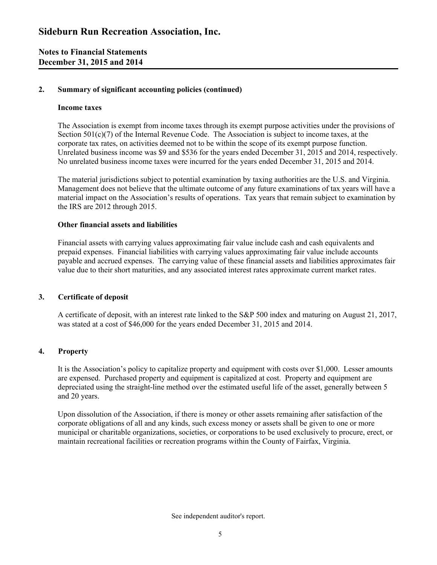#### **Notes to Financial Statements December 31, 2015 and 2014**

#### **2. Summary of significant accounting policies (continued)**

#### **Income taxes**

The Association is exempt from income taxes through its exempt purpose activities under the provisions of Section  $501(c)(7)$  of the Internal Revenue Code. The Association is subject to income taxes, at the corporate tax rates, on activities deemed not to be within the scope of its exempt purpose function. Unrelated business income was \$9 and \$536 for the years ended December 31, 2015 and 2014, respectively. No unrelated business income taxes were incurred for the years ended December 31, 2015 and 2014.

The material jurisdictions subject to potential examination by taxing authorities are the U.S. and Virginia. Management does not believe that the ultimate outcome of any future examinations of tax years will have a material impact on the Association's results of operations. Tax years that remain subject to examination by the IRS are 2012 through 2015.

#### **Other financial assets and liabilities**

Financial assets with carrying values approximating fair value include cash and cash equivalents and prepaid expenses. Financial liabilities with carrying values approximating fair value include accounts payable and accrued expenses. The carrying value of these financial assets and liabilities approximates fair value due to their short maturities, and any associated interest rates approximate current market rates.

#### **3. Certificate of deposit**

A certificate of deposit, with an interest rate linked to the S&P 500 index and maturing on August 21, 2017, was stated at a cost of \$46,000 for the years ended December 31, 2015 and 2014.

#### **4. Property**

It is the Association's policy to capitalize property and equipment with costs over \$1,000. Lesser amounts are expensed. Purchased property and equipment is capitalized at cost. Property and equipment are depreciated using the straight-line method over the estimated useful life of the asset, generally between 5 and 20 years.

Upon dissolution of the Association, if there is money or other assets remaining after satisfaction of the corporate obligations of all and any kinds, such excess money or assets shall be given to one or more municipal or charitable organizations, societies, or corporations to be used exclusively to procure, erect, or maintain recreational facilities or recreation programs within the County of Fairfax, Virginia.

See independent auditor's report.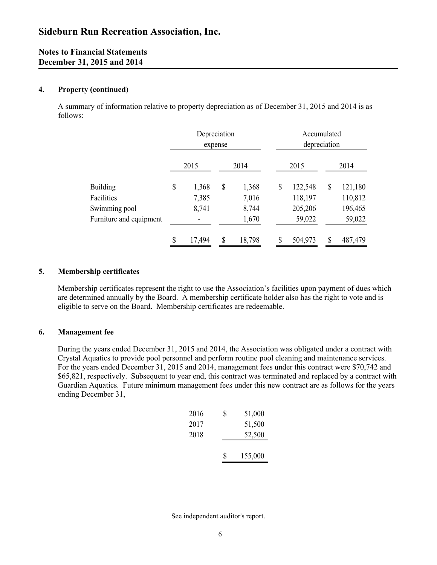#### **Notes to Financial Statements December 31, 2015 and 2014**

#### **4. Property (continued)**

A summary of information relative to property depreciation as of December 31, 2015 and 2014 is as follows:

|                         | Depreciation<br>expense |        |    | Accumulated<br>depreciation |    |         |    |         |
|-------------------------|-------------------------|--------|----|-----------------------------|----|---------|----|---------|
|                         |                         | 2015   |    | 2014                        |    | 2015    |    | 2014    |
| <b>Building</b>         | \$                      | 1,368  | \$ | 1,368                       | \$ | 122,548 | \$ | 121,180 |
| Facilities              |                         | 7,385  |    | 7,016                       |    | 118,197 |    | 110,812 |
| Swimming pool           |                         | 8,741  |    | 8,744                       |    | 205,206 |    | 196,465 |
| Furniture and equipment |                         |        |    | 1,670                       |    | 59,022  |    | 59,022  |
|                         | \$                      | 17,494 | \$ | 18,798                      |    | 504,973 | \$ | 487,479 |

#### **5. Membership certificates**

Membership certificates represent the right to use the Association's facilities upon payment of dues which are determined annually by the Board. A membership certificate holder also has the right to vote and is eligible to serve on the Board. Membership certificates are redeemable.

#### **6. Management fee**

During the years ended December 31, 2015 and 2014, the Association was obligated under a contract with Crystal Aquatics to provide pool personnel and perform routine pool cleaning and maintenance services. For the years ended December 31, 2015 and 2014, management fees under this contract were \$70,742 and \$65,821, respectively. Subsequent to year end, this contract was terminated and replaced by a contract with Guardian Aquatics. Future minimum management fees under this new contract are as follows for the years ending December 31,

| 2016<br>2017<br>2018 | \$<br>51,000<br>51,500<br>52,500 |
|----------------------|----------------------------------|
|                      | \$<br>155,000                    |

See independent auditor's report.